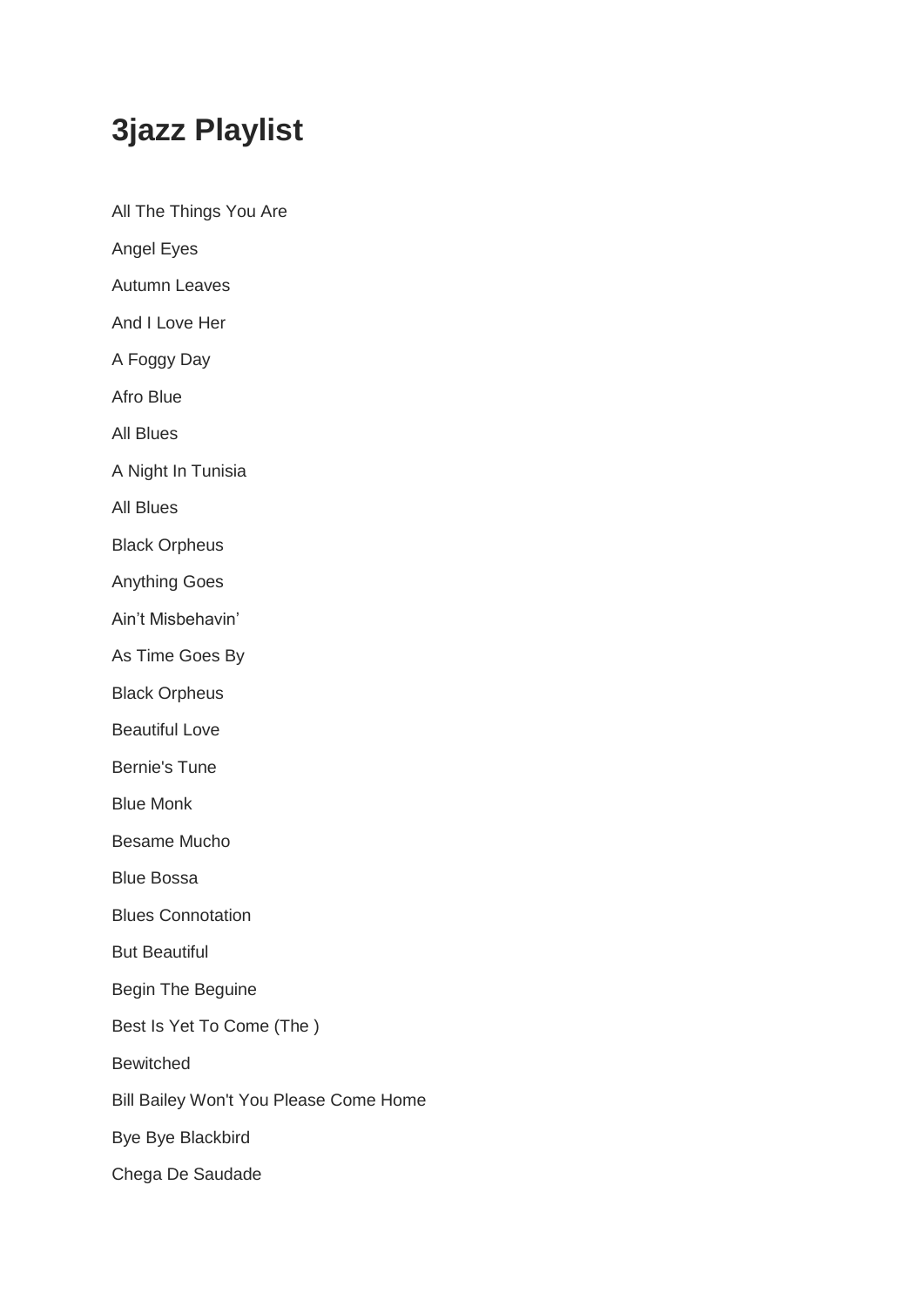## **3jazz Playlist**

All The Things You Are Angel Eyes

Autumn Leaves

And I Love Her

A Foggy Day

Afro Blue

All Blues

A Night In Tunisia

All Blues

Black Orpheus

Anything Goes

Ain't Misbehavin'

As Time Goes By

Black Orpheus

Beautiful Love

Bernie's Tune

Blue Monk

Besame Mucho

Blue Bossa

Blues Connotation

But Beautiful

Begin The Beguine

Best Is Yet To Come (The )

Bewitched

Bill Bailey Won't You Please Come Home

Bye Bye Blackbird

Chega De Saudade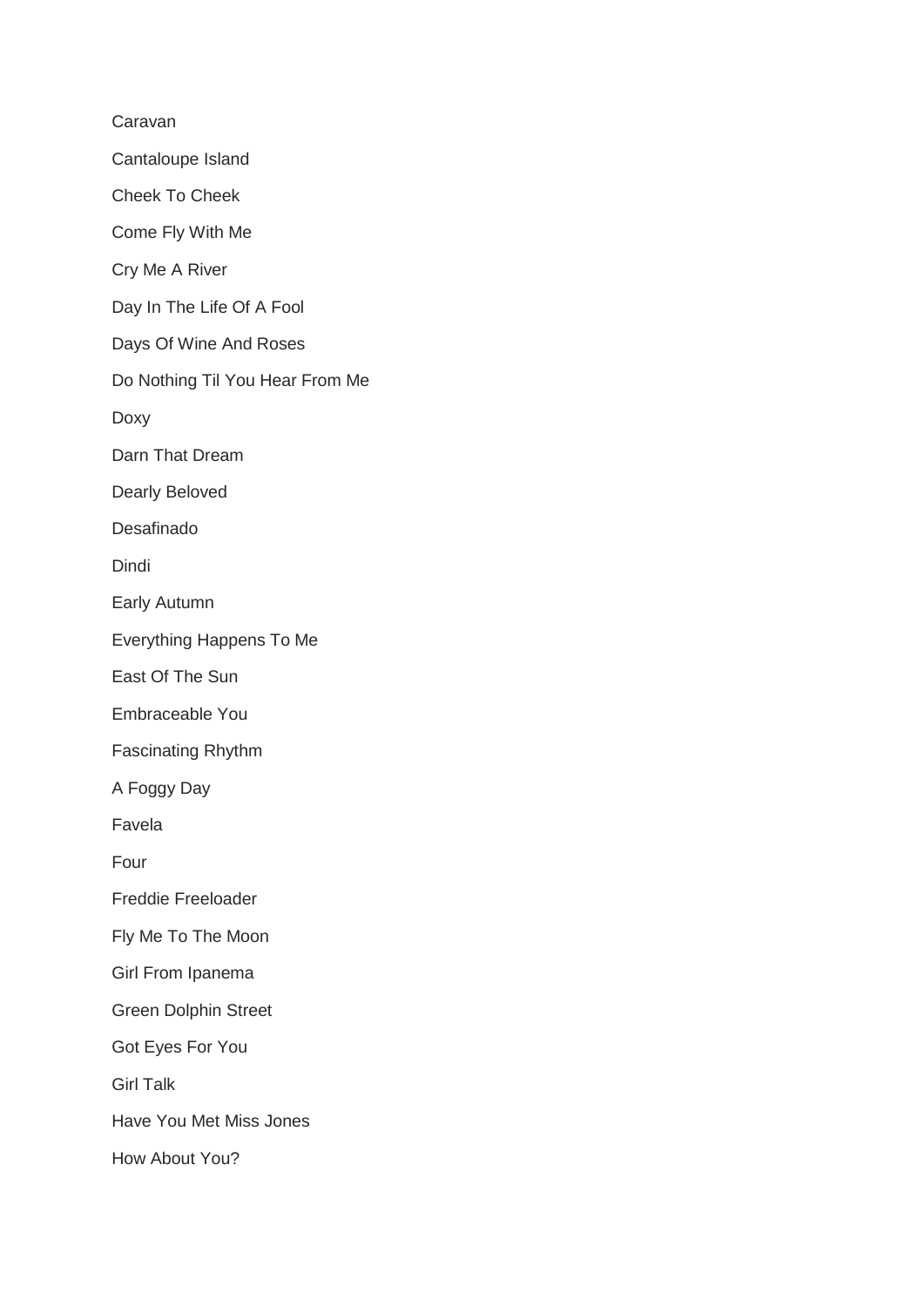Caravan Cantaloupe Island Cheek To Cheek Come Fly With Me Cry Me A River Day In The Life Of A Fool Days Of Wine And Roses Do Nothing Til You Hear From Me Doxy Darn That Dream Dearly Beloved Desafinado Dindi Early Autumn Everything Happens To Me East Of The Sun Embraceable You Fascinating Rhythm A Foggy Day Favela Four Freddie Freeloader Fly Me To The Moon Girl From Ipanema Green Dolphin Street Got Eyes For You Girl Talk Have You Met Miss Jones How About You?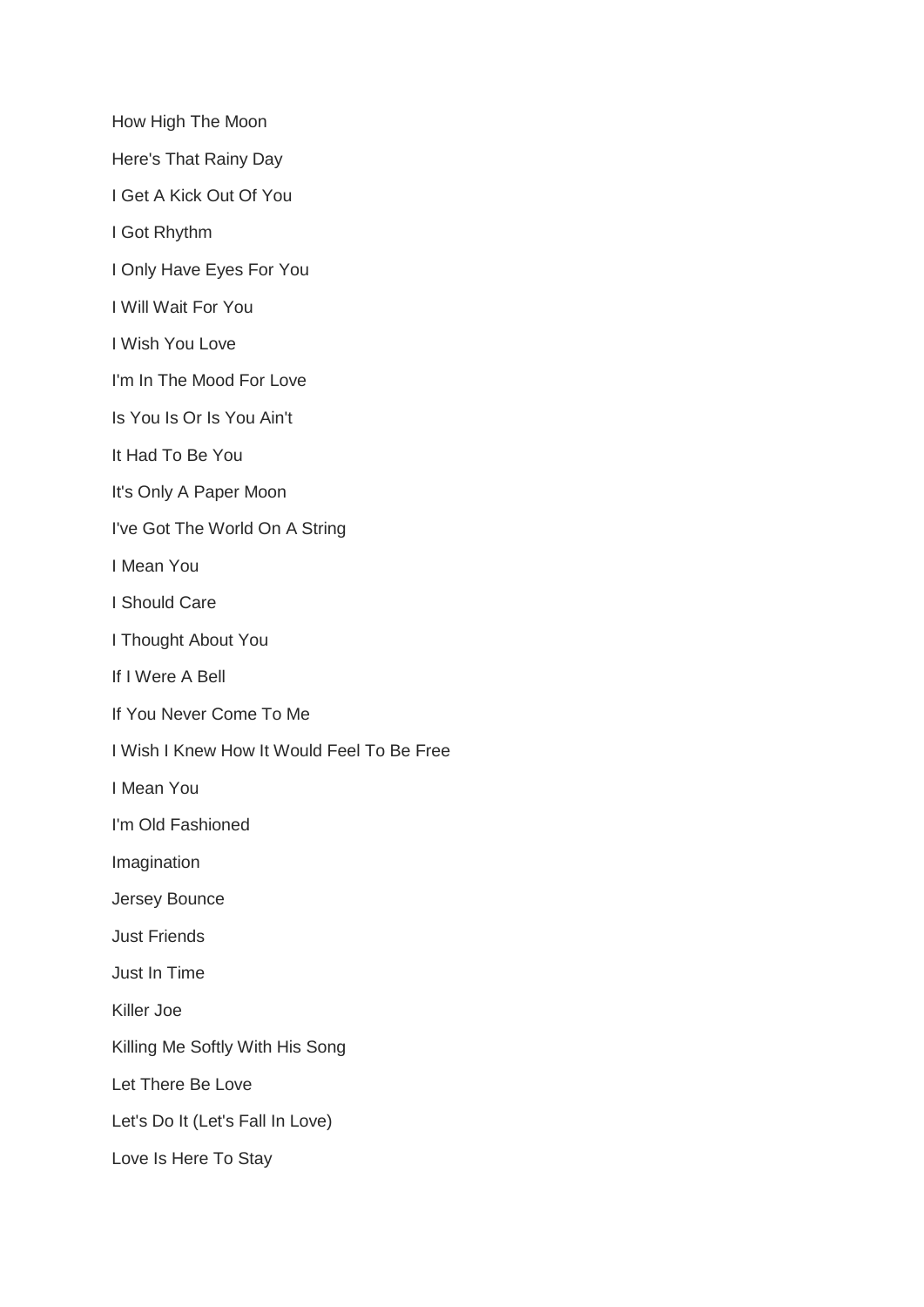How High The Moon

Here's That Rainy Day

I Get A Kick Out Of You

I Got Rhythm

I Only Have Eyes For You

I Will Wait For You

I Wish You Love

I'm In The Mood For Love

Is You Is Or Is You Ain't

It Had To Be You

It's Only A Paper Moon

I've Got The World On A String

I Mean You

I Should Care

I Thought About You

If I Were A Bell

If You Never Come To Me

I Wish I Knew How It Would Feel To Be Free

I Mean You

I'm Old Fashioned

Imagination

Jersey Bounce

Just Friends

Just In Time

Killer Joe

Killing Me Softly With His Song

Let There Be Love

Let's Do It (Let's Fall In Love)

Love Is Here To Stay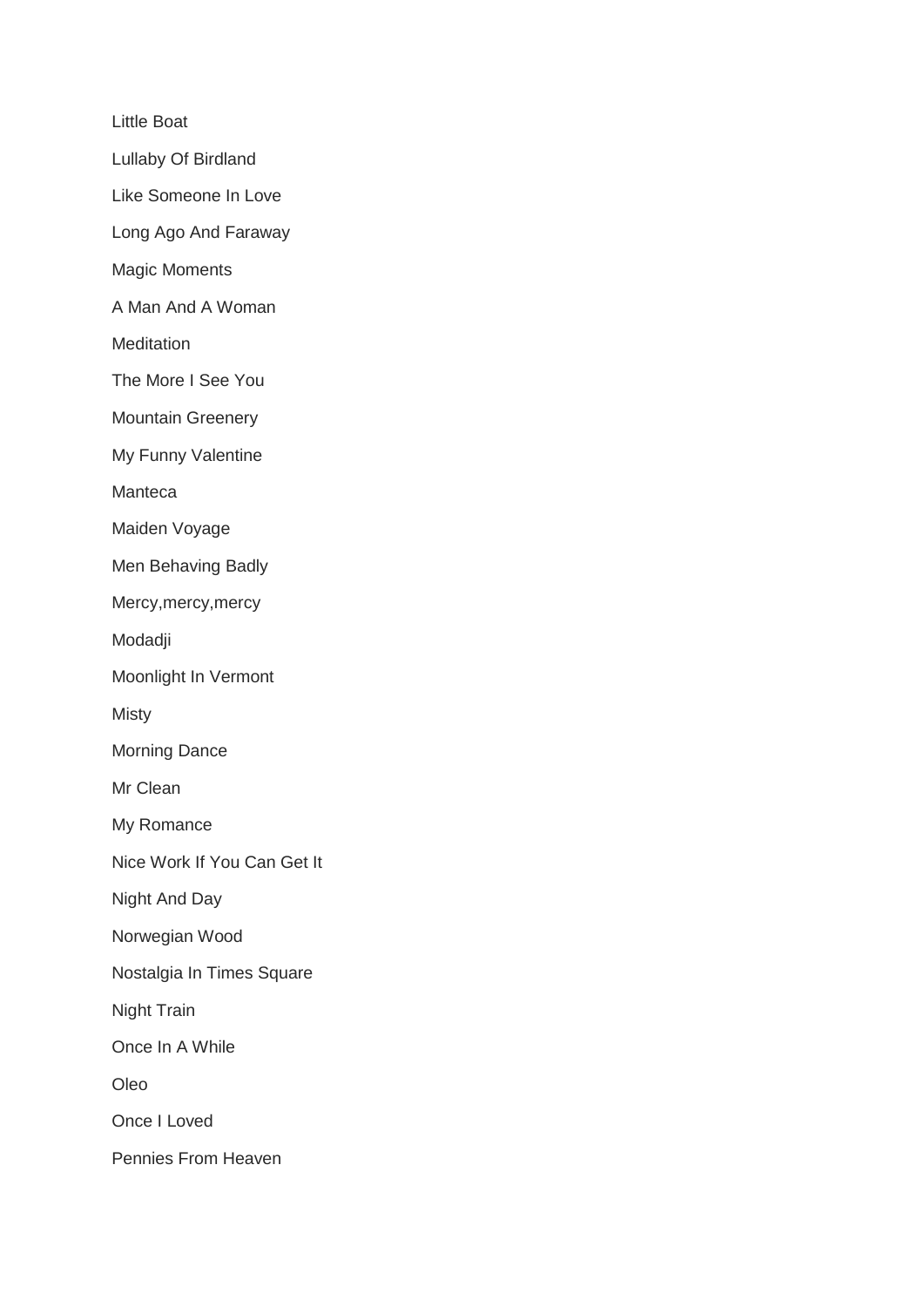Little Boat

Lullaby Of Birdland

Like Someone In Love

Long Ago And Faraway

Magic Moments

A Man And A Woman

**Meditation** 

The More I See You

Mountain Greenery

My Funny Valentine

Manteca

Maiden Voyage

Men Behaving Badly

Mercy,mercy,mercy

Modadji

Moonlight In Vermont

Misty

Morning Dance

Mr Clean

My Romance

Nice Work If You Can Get It

Night And Day

Norwegian Wood

Nostalgia In Times Square

Night Train

Once In A While

Oleo

Once I Loved

Pennies From Heaven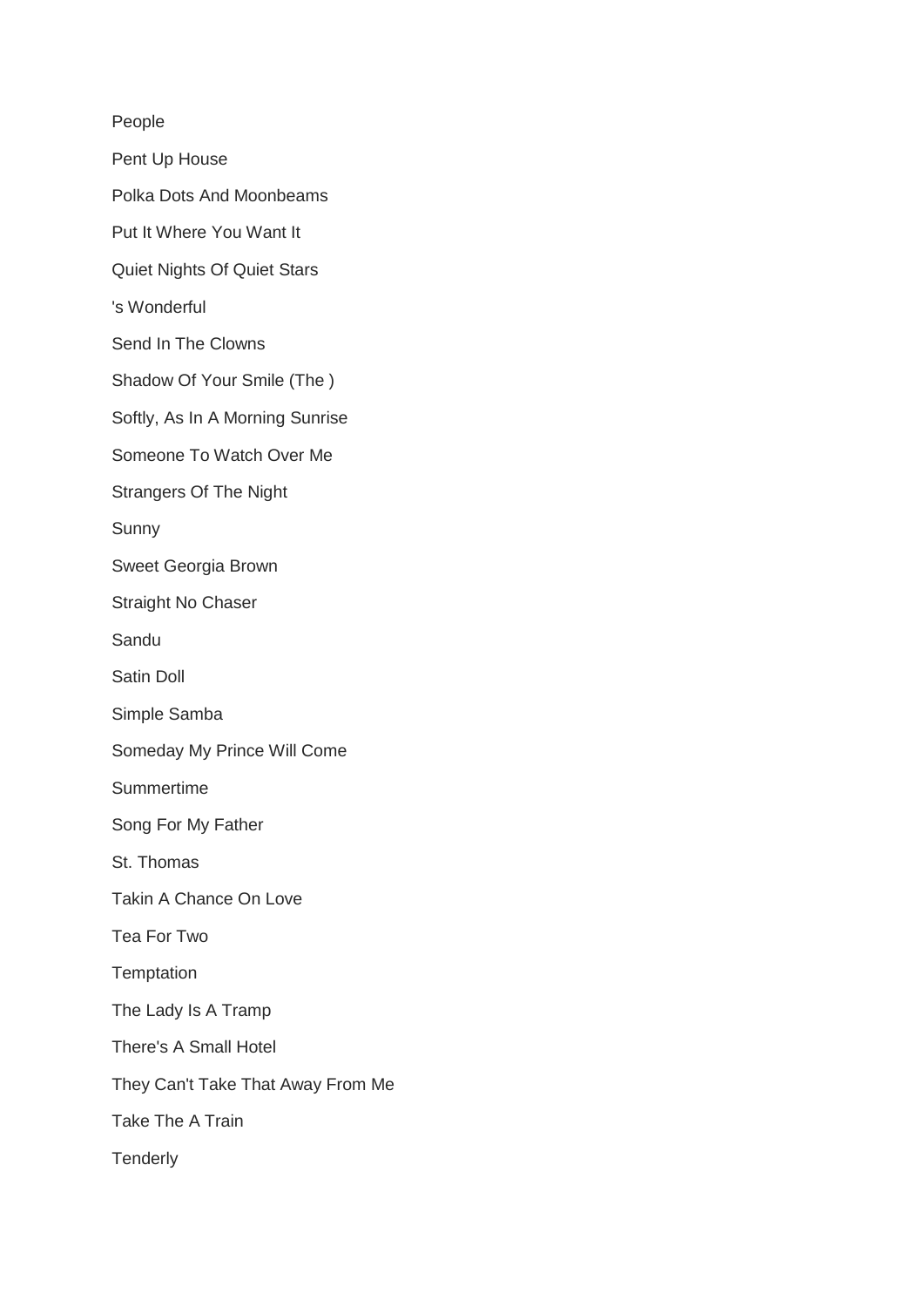## People

- Pent Up House
- Polka Dots And Moonbeams
- Put It Where You Want It
- Quiet Nights Of Quiet Stars
- 's Wonderful
- Send In The Clowns
- Shadow Of Your Smile (The )
- Softly, As In A Morning Sunrise
- Someone To Watch Over Me
- Strangers Of The Night
- Sunny
- Sweet Georgia Brown
- Straight No Chaser
- Sandu
- Satin Doll
- Simple Samba
- Someday My Prince Will Come
- Summertime
- Song For My Father
- St. Thomas
- Takin A Chance On Love
- Tea For Two
- **Temptation**
- The Lady Is A Tramp
- There's A Small Hotel
- They Can't Take That Away From Me
- Take The A Train
- **Tenderly**